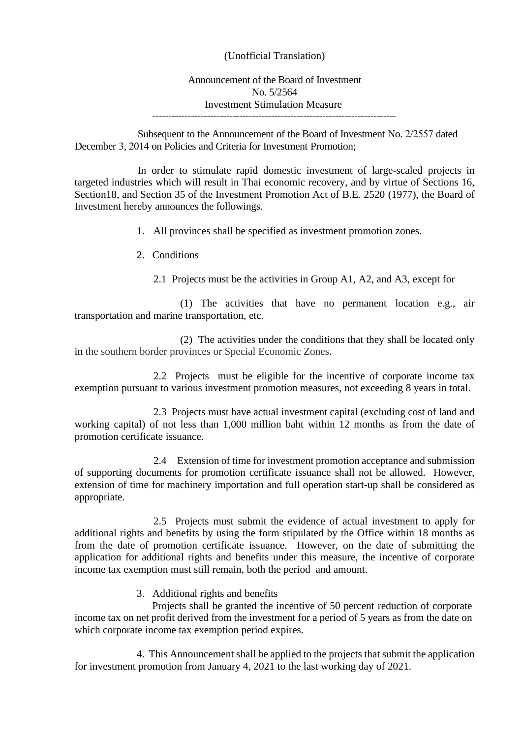## (Unofficial Translation)

## Announcement of the Board of Investment No. 5/2564 Investment Stimulation Measure ----------------------------------------------------------------------------

Subsequent to the Announcement of the Board of Investment No. 2/2557 dated December 3, 2014 on Policies and Criteria for Investment Promotion;

In order to stimulate rapid domestic investment of large-scaled projects in targeted industries which will result in Thai economic recovery, and by virtue of Sections 16, Section18, and Section 35 of the Investment Promotion Act of B.E. 2520 (1977), the Board of Investment hereby announces the followings.

- 1. All provinces shall be specified as investment promotion zones.
- 2. Conditions
	- 2.1 Projects must be the activities in Group A1, A2, and A3, except for

(1) The activities that have no permanent location e.g., air transportation and marine transportation, etc.

(2) The activities under the conditions that they shall be located only in the southern border provinces or Special Economic Zones.

2.2 Projects must be eligible for the incentive of corporate income tax exemption pursuant to various investment promotion measures, not exceeding 8 years in total.

2.3 Projects must have actual investment capital (excluding cost of land and working capital) of not less than 1,000 million baht within 12 months as from the date of promotion certificate issuance.

2.4 Extension of time for investment promotion acceptance and submission of supporting documents for promotion certificate issuance shall not be allowed. However, extension of time for machinery importation and full operation start-up shall be considered as appropriate.

2.5 Projects must submit the evidence of actual investment to apply for additional rights and benefits by using the form stipulated by the Office within 18 months as from the date of promotion certificate issuance. However, on the date of submitting the application for additional rights and benefits under this measure, the incentive of corporate income tax exemption must still remain, both the period and amount.

3. Additional rights and benefits

Projects shall be granted the incentive of 50 percent reduction of corporate income tax on net profit derived from the investment for a period of 5 years as from the date on which corporate income tax exemption period expires.

4. This Announcement shall be applied to the projects that submit the application for investment promotion from January 4, 2021 to the last working day of 2021.